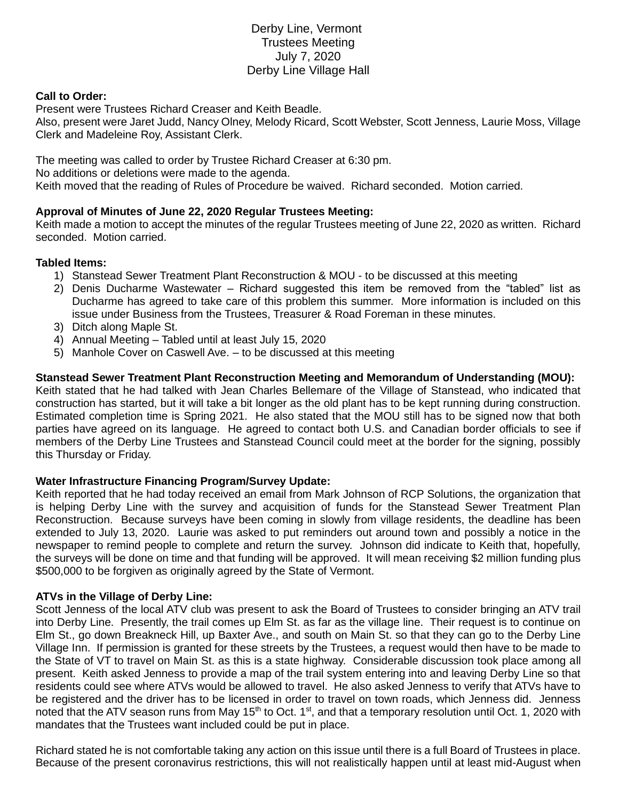# Derby Line, Vermont Trustees Meeting July 7, 2020 Derby Line Village Hall

### **Call to Order:**

Present were Trustees Richard Creaser and Keith Beadle.

Also, present were Jaret Judd, Nancy Olney, Melody Ricard, Scott Webster, Scott Jenness, Laurie Moss, Village Clerk and Madeleine Roy, Assistant Clerk.

The meeting was called to order by Trustee Richard Creaser at 6:30 pm. No additions or deletions were made to the agenda. Keith moved that the reading of Rules of Procedure be waived. Richard seconded. Motion carried.

## **Approval of Minutes of June 22, 2020 Regular Trustees Meeting:**

Keith made a motion to accept the minutes of the regular Trustees meeting of June 22, 2020 as written. Richard seconded. Motion carried.

### **Tabled Items:**

- 1) Stanstead Sewer Treatment Plant Reconstruction & MOU to be discussed at this meeting
- 2) Denis Ducharme Wastewater Richard suggested this item be removed from the "tabled" list as Ducharme has agreed to take care of this problem this summer. More information is included on this issue under Business from the Trustees, Treasurer & Road Foreman in these minutes.
- 3) Ditch along Maple St.
- 4) Annual Meeting Tabled until at least July 15, 2020
- 5) Manhole Cover on Caswell Ave. to be discussed at this meeting

### **Stanstead Sewer Treatment Plant Reconstruction Meeting and Memorandum of Understanding (MOU):**

Keith stated that he had talked with Jean Charles Bellemare of the Village of Stanstead, who indicated that construction has started, but it will take a bit longer as the old plant has to be kept running during construction. Estimated completion time is Spring 2021. He also stated that the MOU still has to be signed now that both parties have agreed on its language. He agreed to contact both U.S. and Canadian border officials to see if members of the Derby Line Trustees and Stanstead Council could meet at the border for the signing, possibly this Thursday or Friday.

#### **Water Infrastructure Financing Program/Survey Update:**

Keith reported that he had today received an email from Mark Johnson of RCP Solutions, the organization that is helping Derby Line with the survey and acquisition of funds for the Stanstead Sewer Treatment Plan Reconstruction. Because surveys have been coming in slowly from village residents, the deadline has been extended to July 13, 2020. Laurie was asked to put reminders out around town and possibly a notice in the newspaper to remind people to complete and return the survey. Johnson did indicate to Keith that, hopefully, the surveys will be done on time and that funding will be approved. It will mean receiving \$2 million funding plus \$500,000 to be forgiven as originally agreed by the State of Vermont.

#### **ATVs in the Village of Derby Line:**

Scott Jenness of the local ATV club was present to ask the Board of Trustees to consider bringing an ATV trail into Derby Line. Presently, the trail comes up Elm St. as far as the village line. Their request is to continue on Elm St., go down Breakneck Hill, up Baxter Ave., and south on Main St. so that they can go to the Derby Line Village Inn. If permission is granted for these streets by the Trustees, a request would then have to be made to the State of VT to travel on Main St. as this is a state highway. Considerable discussion took place among all present. Keith asked Jenness to provide a map of the trail system entering into and leaving Derby Line so that residents could see where ATVs would be allowed to travel. He also asked Jenness to verify that ATVs have to be registered and the driver has to be licensed in order to travel on town roads, which Jenness did. Jenness noted that the ATV season runs from May 15<sup>th</sup> to Oct. 1<sup>st</sup>, and that a temporary resolution until Oct. 1, 2020 with mandates that the Trustees want included could be put in place.

Richard stated he is not comfortable taking any action on this issue until there is a full Board of Trustees in place. Because of the present coronavirus restrictions, this will not realistically happen until at least mid-August when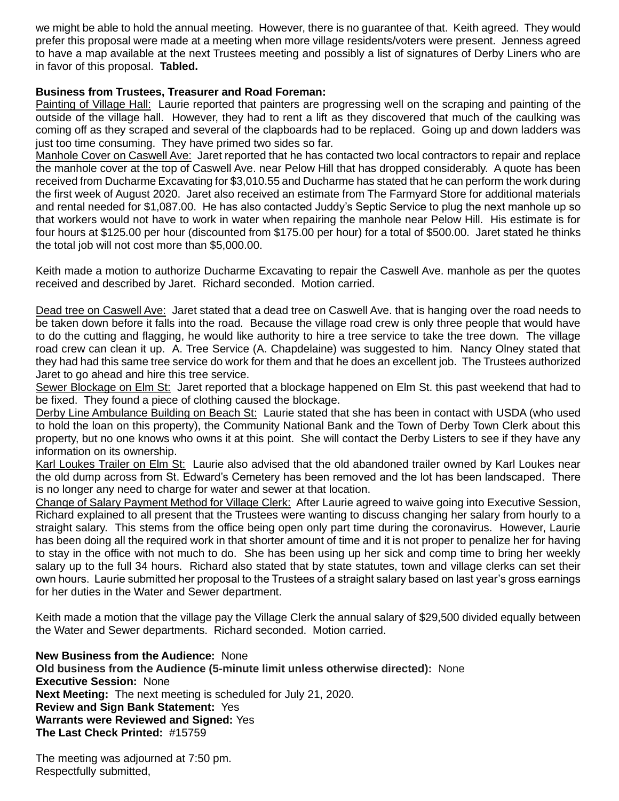we might be able to hold the annual meeting. However, there is no guarantee of that. Keith agreed. They would prefer this proposal were made at a meeting when more village residents/voters were present. Jenness agreed to have a map available at the next Trustees meeting and possibly a list of signatures of Derby Liners who are in favor of this proposal. **Tabled.**

## **Business from Trustees, Treasurer and Road Foreman:**

Painting of Village Hall: Laurie reported that painters are progressing well on the scraping and painting of the outside of the village hall. However, they had to rent a lift as they discovered that much of the caulking was coming off as they scraped and several of the clapboards had to be replaced. Going up and down ladders was just too time consuming. They have primed two sides so far.

Manhole Cover on Caswell Ave: Jaret reported that he has contacted two local contractors to repair and replace the manhole cover at the top of Caswell Ave. near Pelow Hill that has dropped considerably. A quote has been received from Ducharme Excavating for \$3,010.55 and Ducharme has stated that he can perform the work during the first week of August 2020. Jaret also received an estimate from The Farmyard Store for additional materials and rental needed for \$1,087.00. He has also contacted Juddy's Septic Service to plug the next manhole up so that workers would not have to work in water when repairing the manhole near Pelow Hill. His estimate is for four hours at \$125.00 per hour (discounted from \$175.00 per hour) for a total of \$500.00. Jaret stated he thinks the total job will not cost more than \$5,000.00.

Keith made a motion to authorize Ducharme Excavating to repair the Caswell Ave. manhole as per the quotes received and described by Jaret. Richard seconded. Motion carried.

Dead tree on Caswell Ave: Jaret stated that a dead tree on Caswell Ave. that is hanging over the road needs to be taken down before it falls into the road. Because the village road crew is only three people that would have to do the cutting and flagging, he would like authority to hire a tree service to take the tree down. The village road crew can clean it up. A. Tree Service (A. Chapdelaine) was suggested to him. Nancy Olney stated that they had had this same tree service do work for them and that he does an excellent job. The Trustees authorized Jaret to go ahead and hire this tree service.

Sewer Blockage on Elm St: Jaret reported that a blockage happened on Elm St. this past weekend that had to be fixed. They found a piece of clothing caused the blockage.

Derby Line Ambulance Building on Beach St: Laurie stated that she has been in contact with USDA (who used to hold the loan on this property), the Community National Bank and the Town of Derby Town Clerk about this property, but no one knows who owns it at this point. She will contact the Derby Listers to see if they have any information on its ownership.

Karl Loukes Trailer on Elm St: Laurie also advised that the old abandoned trailer owned by Karl Loukes near the old dump across from St. Edward's Cemetery has been removed and the lot has been landscaped. There is no longer any need to charge for water and sewer at that location.

Change of Salary Payment Method for Village Clerk: After Laurie agreed to waive going into Executive Session, Richard explained to all present that the Trustees were wanting to discuss changing her salary from hourly to a straight salary. This stems from the office being open only part time during the coronavirus. However, Laurie has been doing all the required work in that shorter amount of time and it is not proper to penalize her for having to stay in the office with not much to do. She has been using up her sick and comp time to bring her weekly salary up to the full 34 hours. Richard also stated that by state statutes, town and village clerks can set their own hours. Laurie submitted her proposal to the Trustees of a straight salary based on last year's gross earnings for her duties in the Water and Sewer department.

Keith made a motion that the village pay the Village Clerk the annual salary of \$29,500 divided equally between the Water and Sewer departments. Richard seconded. Motion carried.

**New Business from the Audience:** None **Old business from the Audience (5-minute limit unless otherwise directed):** None **Executive Session:** None **Next Meeting:** The next meeting is scheduled for July 21, 2020. **Review and Sign Bank Statement:** Yes **Warrants were Reviewed and Signed:** Yes **The Last Check Printed:** #15759

The meeting was adjourned at 7:50 pm. Respectfully submitted,